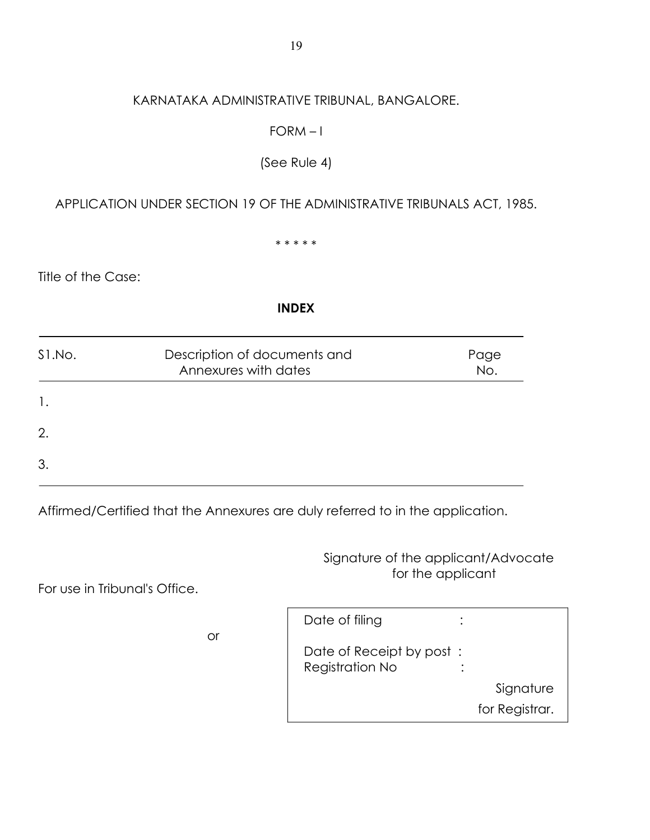## KARNATAKA ADMINISTRATIVE TRIBUNAL, BANGALORE.

## $FORM - 1$

# (See Rule 4)

# APPLICATION UNDER SECTION 19 OF THE ADMINISTRATIVE TRIBUNALS ACT, 1985.

\* \* \* \* \*

Title of the Case:

#### **INDEX**

| S1.No. | Description of documents and<br>Annexures with dates | Page<br>No. |
|--------|------------------------------------------------------|-------------|
| 1.     |                                                      |             |
| 2.     |                                                      |             |
| 3.     |                                                      |             |

Affirmed/Certified that the Annexures are duly referred to in the application.

Signature of the applicant/Advocate for the applicant

For use in Tribunal's Office.

|    | Date of filing                              |                |
|----|---------------------------------------------|----------------|
| or | Date of Receipt by post:<br>Registration No |                |
|    |                                             | Signature      |
|    |                                             | for Registrar. |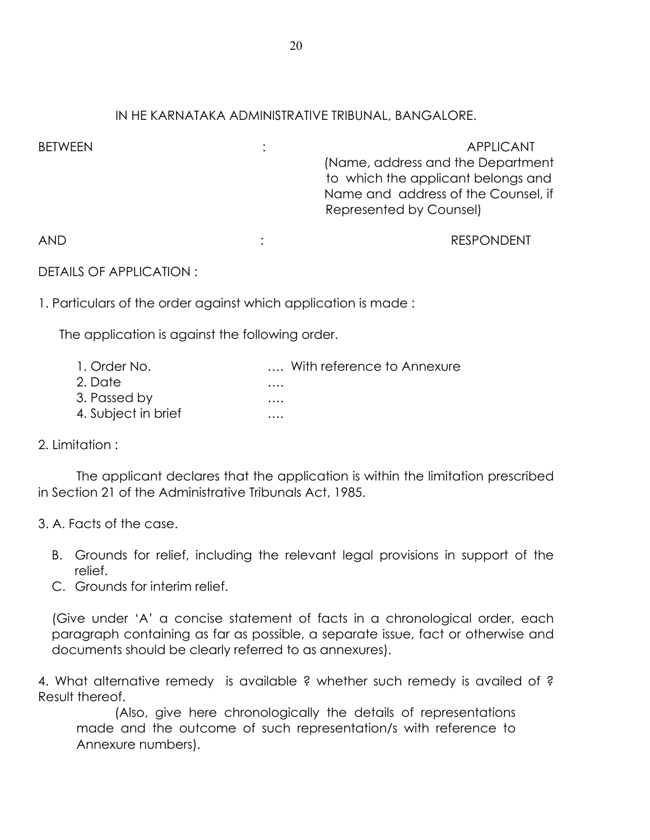## IN HE KARNATAKA ADMINISTRATIVE TRIBUNAL, BANGALORE.

| <b>BETWEEN</b> | <b>APPLICANT</b><br>(Name, address and the Department<br>to which the applicant belongs and<br>Name and address of the Counsel, if<br>Represented by Counsel) |
|----------------|---------------------------------------------------------------------------------------------------------------------------------------------------------------|
| <b>AND</b>     | <b>RESPONDENT</b>                                                                                                                                             |

DETAILS OF APPLICATION :

1. Particulars of the order against which application is made :

The application is against the following order.

| 1. Order No.        | With reference to Annexure |
|---------------------|----------------------------|
| 2. Date             | $\cdots$                   |
| 3. Passed by        | $\cdots$                   |
| 4. Subject in brief | $\cdots$                   |

2. Limitation :

 The applicant declares that the application is within the limitation prescribed in Section 21 of the Administrative Tribunals Act, 1985.

3. A. Facts of the case.

- B. Grounds for relief, including the relevant legal provisions in support of the relief.
- C. Grounds for interim relief.

(Give under 'A' a concise statement of facts in a chronological order, each paragraph containing as far as possible, a separate issue, fact or otherwise and documents should be clearly referred to as annexures).

4. What alternative remedy is available ? whether such remedy is availed of ? Result thereof.

 (Also, give here chronologically the details of representations made and the outcome of such representation/s with reference to Annexure numbers).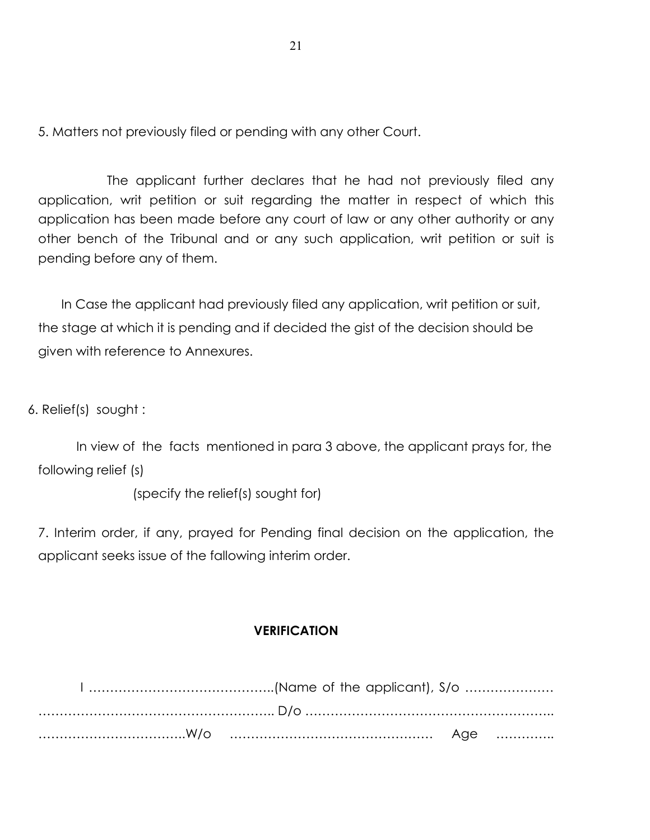5. Matters not previously filed or pending with any other Court.

The applicant further declares that he had not previously filed any application, writ petition or suit regarding the matter in respect of which this application has been made before any court of law or any other authority or any other bench of the Tribunal and or any such application, writ petition or suit is pending before any of them.

In Case the applicant had previously filed any application, writ petition or suit, the stage at which it is pending and if decided the gist of the decision should be given with reference to Annexures.

6. Relief(s) sought :

In view of the facts mentioned in para 3 above, the applicant prays for, the following relief (s)

(specify the relief(s) sought for)

7. Interim order, if any, prayed for Pending final decision on the application, the applicant seeks issue of the fallowing interim order.

#### **VERIFICATION**